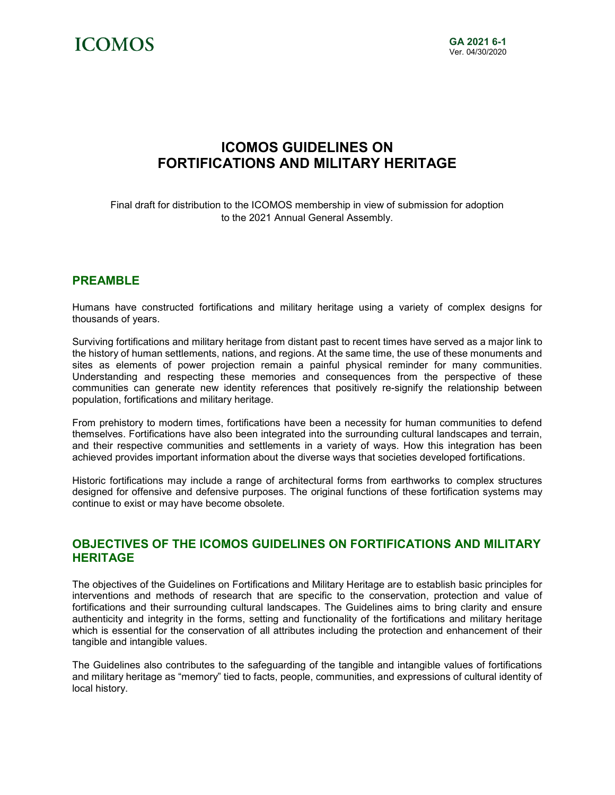

## **ICOMOS GUIDELINES ON FORTIFICATIONS AND MILITARY HERITAGE**

Final draft for distribution to the ICOMOS membership in view of submission for adoption to the 2021 Annual General Assembly.

## **PREAMBLE**

Humans have constructed fortifications and military heritage using a variety of complex designs for thousands of years.

Surviving fortifications and military heritage from distant past to recent times have served as a major link to the history of human settlements, nations, and regions. At the same time, the use of these monuments and sites as elements of power projection remain a painful physical reminder for many communities. Understanding and respecting these memories and consequences from the perspective of these communities can generate new identity references that positively re-signify the relationship between population, fortifications and military heritage.

From prehistory to modern times, fortifications have been a necessity for human communities to defend themselves. Fortifications have also been integrated into the surrounding cultural landscapes and terrain, and their respective communities and settlements in a variety of ways. How this integration has been achieved provides important information about the diverse ways that societies developed fortifications.

Historic fortifications may include a range of architectural forms from earthworks to complex structures designed for offensive and defensive purposes. The original functions of these fortification systems may continue to exist or may have become obsolete.

## **OBJECTIVES OF THE ICOMOS GUIDELINES ON FORTIFICATIONS AND MILITARY HERITAGE**

The objectives of the Guidelines on Fortifications and Military Heritage are to establish basic principles for interventions and methods of research that are specific to the conservation, protection and value of fortifications and their surrounding cultural landscapes. The Guidelines aims to bring clarity and ensure authenticity and integrity in the forms, setting and functionality of the fortifications and military heritage which is essential for the conservation of all attributes including the protection and enhancement of their tangible and intangible values.

The Guidelines also contributes to the safeguarding of the tangible and intangible values of fortifications and military heritage as "memory" tied to facts, people, communities, and expressions of cultural identity of local history.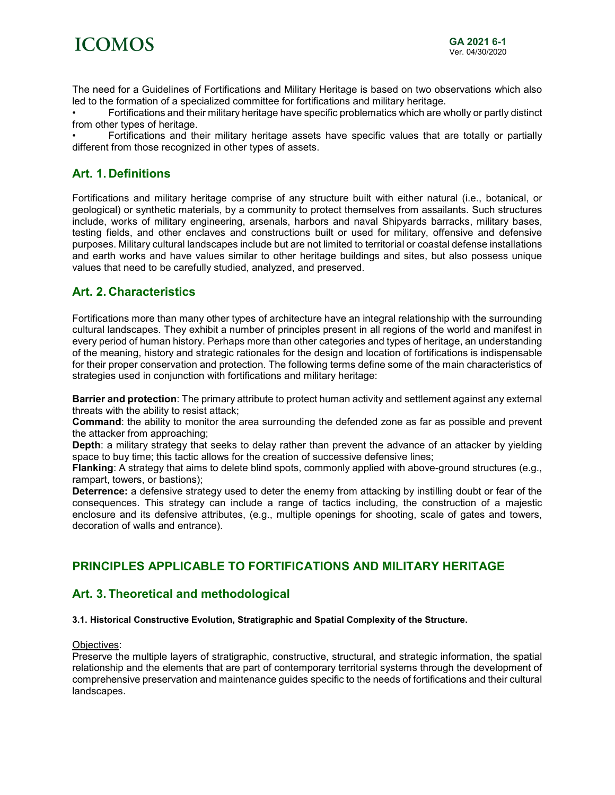

The need for a Guidelines of Fortifications and Military Heritage is based on two observations which also led to the formation of a specialized committee for fortifications and military heritage.

• Fortifications and their military heritage have specific problematics which are wholly or partly distinct from other types of heritage.

• Fortifications and their military heritage assets have specific values that are totally or partially different from those recognized in other types of assets.

## **Art. 1. Definitions**

Fortifications and military heritage comprise of any structure built with either natural (i.e., botanical, or geological) or synthetic materials, by a community to protect themselves from assailants. Such structures include, works of military engineering, arsenals, harbors and naval Shipyards barracks, military bases, testing fields, and other enclaves and constructions built or used for military, offensive and defensive purposes. Military cultural landscapes include but are not limited to territorial or coastal defense installations and earth works and have values similar to other heritage buildings and sites, but also possess unique values that need to be carefully studied, analyzed, and preserved.

## **Art. 2. Characteristics**

Fortifications more than many other types of architecture have an integral relationship with the surrounding cultural landscapes. They exhibit a number of principles present in all regions of the world and manifest in every period of human history. Perhaps more than other categories and types of heritage, an understanding of the meaning, history and strategic rationales for the design and location of fortifications is indispensable for their proper conservation and protection. The following terms define some of the main characteristics of strategies used in conjunction with fortifications and military heritage:

**Barrier and protection**: The primary attribute to protect human activity and settlement against any external threats with the ability to resist attack;

**Command**: the ability to monitor the area surrounding the defended zone as far as possible and prevent the attacker from approaching;

**Depth**: a military strategy that seeks to delay rather than prevent the advance of an attacker by yielding space to buy time; this tactic allows for the creation of successive defensive lines;

**Flanking**: A strategy that aims to delete blind spots, commonly applied with above-ground structures (e.g., rampart, towers, or bastions);

**Deterrence:** a defensive strategy used to deter the enemy from attacking by instilling doubt or fear of the consequences. This strategy can include a range of tactics including, the construction of a majestic enclosure and its defensive attributes, (e.g., multiple openings for shooting, scale of gates and towers, decoration of walls and entrance).

## **PRINCIPLES APPLICABLE TO FORTIFICATIONS AND MILITARY HERITAGE**

## **Art. 3. Theoretical and methodological**

#### **3.1. Historical Constructive Evolution, Stratigraphic and Spatial Complexity of the Structure.**

#### Objectives:

Preserve the multiple layers of stratigraphic, constructive, structural, and strategic information, the spatial relationship and the elements that are part of contemporary territorial systems through the development of comprehensive preservation and maintenance guides specific to the needs of fortifications and their cultural landscapes.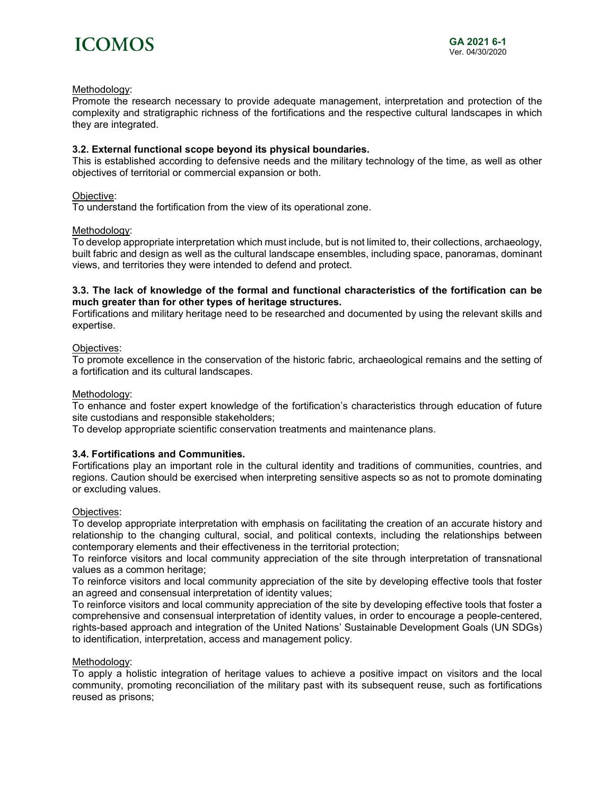

#### Methodology:

Promote the research necessary to provide adequate management, interpretation and protection of the complexity and stratigraphic richness of the fortifications and the respective cultural landscapes in which they are integrated.

#### **3.2. External functional scope beyond its physical boundaries.**

This is established according to defensive needs and the military technology of the time, as well as other objectives of territorial or commercial expansion or both.

#### Objective:

To understand the fortification from the view of its operational zone.

#### Methodology:

To develop appropriate interpretation which must include, but is not limited to, their collections, archaeology, built fabric and design as well as the cultural landscape ensembles, including space, panoramas, dominant views, and territories they were intended to defend and protect.

#### **3.3. The lack of knowledge of the formal and functional characteristics of the fortification can be much greater than for other types of heritage structures.**

Fortifications and military heritage need to be researched and documented by using the relevant skills and expertise.

#### Objectives:

To promote excellence in the conservation of the historic fabric, archaeological remains and the setting of a fortification and its cultural landscapes.

#### Methodology:

To enhance and foster expert knowledge of the fortification's characteristics through education of future site custodians and responsible stakeholders;

To develop appropriate scientific conservation treatments and maintenance plans.

#### **3.4. Fortifications and Communities.**

Fortifications play an important role in the cultural identity and traditions of communities, countries, and regions. Caution should be exercised when interpreting sensitive aspects so as not to promote dominating or excluding values.

#### Objectives:

To develop appropriate interpretation with emphasis on facilitating the creation of an accurate history and relationship to the changing cultural, social, and political contexts, including the relationships between contemporary elements and their effectiveness in the territorial protection;

To reinforce visitors and local community appreciation of the site through interpretation of transnational values as a common heritage;

To reinforce visitors and local community appreciation of the site by developing effective tools that foster an agreed and consensual interpretation of identity values;

To reinforce visitors and local community appreciation of the site by developing effective tools that foster a comprehensive and consensual interpretation of identity values, in order to encourage a people-centered, rights-based approach and integration of the United Nations' Sustainable Development Goals (UN SDGs) to identification, interpretation, access and management policy.

#### Methodology:

To apply a holistic integration of heritage values to achieve a positive impact on visitors and the local community, promoting reconciliation of the military past with its subsequent reuse, such as fortifications reused as prisons;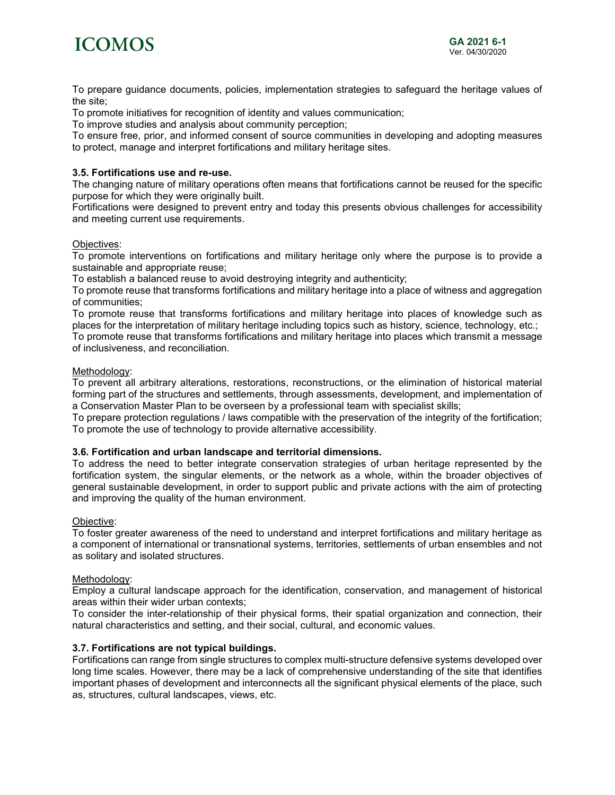

To prepare guidance documents, policies, implementation strategies to safeguard the heritage values of the site;

To promote initiatives for recognition of identity and values communication;

To improve studies and analysis about community perception;

To ensure free, prior, and informed consent of source communities in developing and adopting measures to protect, manage and interpret fortifications and military heritage sites.

#### **3.5. Fortifications use and re-use.**

The changing nature of military operations often means that fortifications cannot be reused for the specific purpose for which they were originally built.

Fortifications were designed to prevent entry and today this presents obvious challenges for accessibility and meeting current use requirements.

#### Objectives:

To promote interventions on fortifications and military heritage only where the purpose is to provide a sustainable and appropriate reuse;

To establish a balanced reuse to avoid destroying integrity and authenticity;

To promote reuse that transforms fortifications and military heritage into a place of witness and aggregation of communities;

To promote reuse that transforms fortifications and military heritage into places of knowledge such as places for the interpretation of military heritage including topics such as history, science, technology, etc.;

To promote reuse that transforms fortifications and military heritage into places which transmit a message of inclusiveness, and reconciliation.

#### Methodology:

To prevent all arbitrary alterations, restorations, reconstructions, or the elimination of historical material forming part of the structures and settlements, through assessments, development, and implementation of a Conservation Master Plan to be overseen by a professional team with specialist skills;

To prepare protection regulations / laws compatible with the preservation of the integrity of the fortification; To promote the use of technology to provide alternative accessibility.

#### **3.6. Fortification and urban landscape and territorial dimensions.**

To address the need to better integrate conservation strategies of urban heritage represented by the fortification system, the singular elements, or the network as a whole, within the broader objectives of general sustainable development, in order to support public and private actions with the aim of protecting and improving the quality of the human environment.

#### Objective:

To foster greater awareness of the need to understand and interpret fortifications and military heritage as a component of international or transnational systems, territories, settlements of urban ensembles and not as solitary and isolated structures.

#### Methodology:

Employ a cultural landscape approach for the identification, conservation, and management of historical areas within their wider urban contexts;

To consider the inter-relationship of their physical forms, their spatial organization and connection, their natural characteristics and setting, and their social, cultural, and economic values.

#### **3.7. Fortifications are not typical buildings.**

Fortifications can range from single structures to complex multi-structure defensive systems developed over long time scales. However, there may be a lack of comprehensive understanding of the site that identifies important phases of development and interconnects all the significant physical elements of the place, such as, structures, cultural landscapes, views, etc.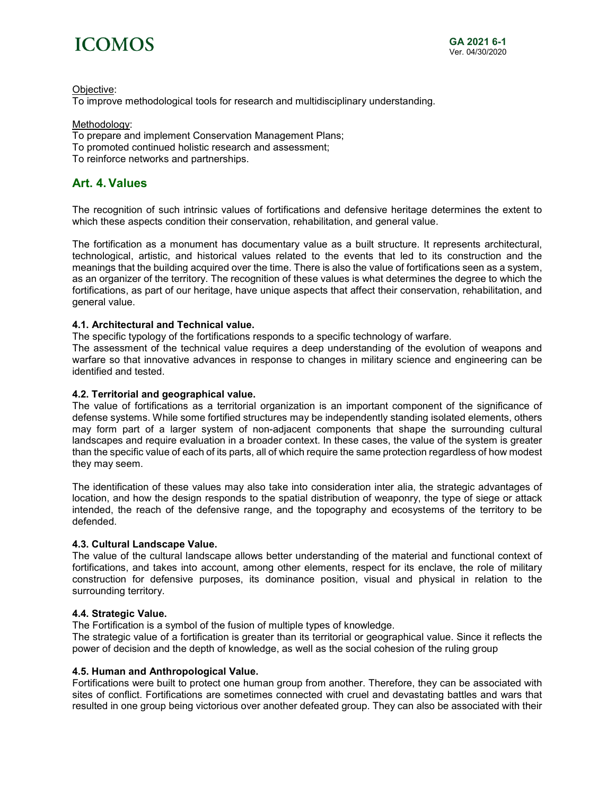# **ICOMOS**

Objective:

To improve methodological tools for research and multidisciplinary understanding.

Methodology: To prepare and implement Conservation Management Plans; To promoted continued holistic research and assessment; To reinforce networks and partnerships.

## **Art. 4. Values**

The recognition of such intrinsic values of fortifications and defensive heritage determines the extent to which these aspects condition their conservation, rehabilitation, and general value.

The fortification as a monument has documentary value as a built structure. It represents architectural, technological, artistic, and historical values related to the events that led to its construction and the meanings that the building acquired over the time. There is also the value of fortifications seen as a system, as an organizer of the territory. The recognition of these values is what determines the degree to which the fortifications, as part of our heritage, have unique aspects that affect their conservation, rehabilitation, and general value.

#### **4.1. Architectural and Technical value.**

The specific typology of the fortifications responds to a specific technology of warfare.

The assessment of the technical value requires a deep understanding of the evolution of weapons and warfare so that innovative advances in response to changes in military science and engineering can be identified and tested.

#### **4.2. Territorial and geographical value.**

The value of fortifications as a territorial organization is an important component of the significance of defense systems. While some fortified structures may be independently standing isolated elements, others may form part of a larger system of non-adjacent components that shape the surrounding cultural landscapes and require evaluation in a broader context. In these cases, the value of the system is greater than the specific value of each of its parts, all of which require the same protection regardless of how modest they may seem.

The identification of these values may also take into consideration inter alia, the strategic advantages of location, and how the design responds to the spatial distribution of weaponry, the type of siege or attack intended, the reach of the defensive range, and the topography and ecosystems of the territory to be defended.

#### **4.3. Cultural Landscape Value.**

The value of the cultural landscape allows better understanding of the material and functional context of fortifications, and takes into account, among other elements, respect for its enclave, the role of military construction for defensive purposes, its dominance position, visual and physical in relation to the surrounding territory.

#### **4.4. Strategic Value.**

The Fortification is a symbol of the fusion of multiple types of knowledge.

The strategic value of a fortification is greater than its territorial or geographical value. Since it reflects the power of decision and the depth of knowledge, as well as the social cohesion of the ruling group

#### **4.5. Human and Anthropological Value.**

Fortifications were built to protect one human group from another. Therefore, they can be associated with sites of conflict. Fortifications are sometimes connected with cruel and devastating battles and wars that resulted in one group being victorious over another defeated group. They can also be associated with their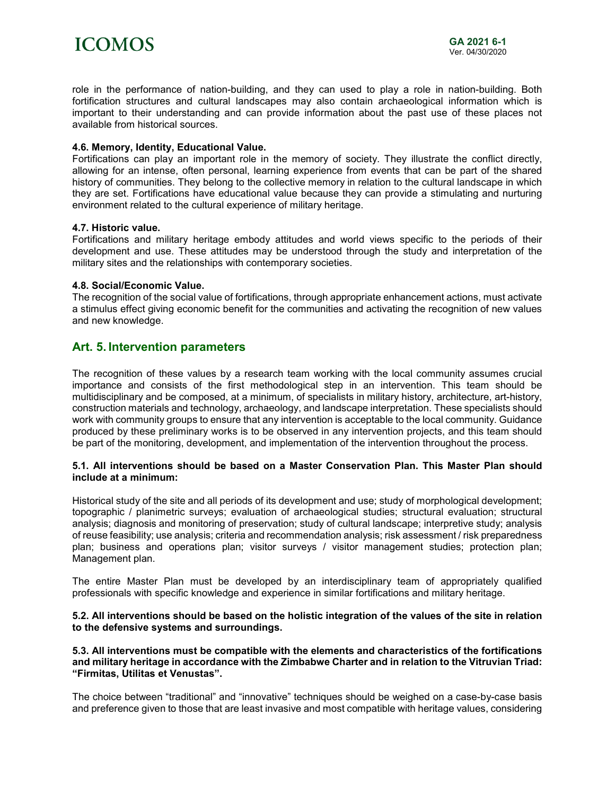

role in the performance of nation-building, and they can used to play a role in nation-building. Both fortification structures and cultural landscapes may also contain archaeological information which is important to their understanding and can provide information about the past use of these places not available from historical sources.

#### **4.6. Memory, Identity, Educational Value.**

Fortifications can play an important role in the memory of society. They illustrate the conflict directly, allowing for an intense, often personal, learning experience from events that can be part of the shared history of communities. They belong to the collective memory in relation to the cultural landscape in which they are set. Fortifications have educational value because they can provide a stimulating and nurturing environment related to the cultural experience of military heritage.

#### **4.7. Historic value.**

Fortifications and military heritage embody attitudes and world views specific to the periods of their development and use. These attitudes may be understood through the study and interpretation of the military sites and the relationships with contemporary societies.

#### **4.8. Social/Economic Value.**

The recognition of the social value of fortifications, through appropriate enhancement actions, must activate a stimulus effect giving economic benefit for the communities and activating the recognition of new values and new knowledge.

### **Art. 5. Intervention parameters**

The recognition of these values by a research team working with the local community assumes crucial importance and consists of the first methodological step in an intervention. This team should be multidisciplinary and be composed, at a minimum, of specialists in military history, architecture, art-history, construction materials and technology, archaeology, and landscape interpretation. These specialists should work with community groups to ensure that any intervention is acceptable to the local community. Guidance produced by these preliminary works is to be observed in any intervention projects, and this team should be part of the monitoring, development, and implementation of the intervention throughout the process.

#### **5.1. All interventions should be based on a Master Conservation Plan. This Master Plan should include at a minimum:**

Historical study of the site and all periods of its development and use; study of morphological development; topographic / planimetric surveys; evaluation of archaeological studies; structural evaluation; structural analysis; diagnosis and monitoring of preservation; study of cultural landscape; interpretive study; analysis of reuse feasibility; use analysis; criteria and recommendation analysis; risk assessment / risk preparedness plan; business and operations plan; visitor surveys / visitor management studies; protection plan; Management plan.

The entire Master Plan must be developed by an interdisciplinary team of appropriately qualified professionals with specific knowledge and experience in similar fortifications and military heritage.

#### **5.2. All interventions should be based on the holistic integration of the values of the site in relation to the defensive systems and surroundings.**

#### **5.3. All interventions must be compatible with the elements and characteristics of the fortifications and military heritage in accordance with the Zimbabwe Charter and in relation to the Vitruvian Triad: "Firmitas, Utilitas et Venustas".**

The choice between "traditional" and "innovative" techniques should be weighed on a case-by-case basis and preference given to those that are least invasive and most compatible with heritage values, considering